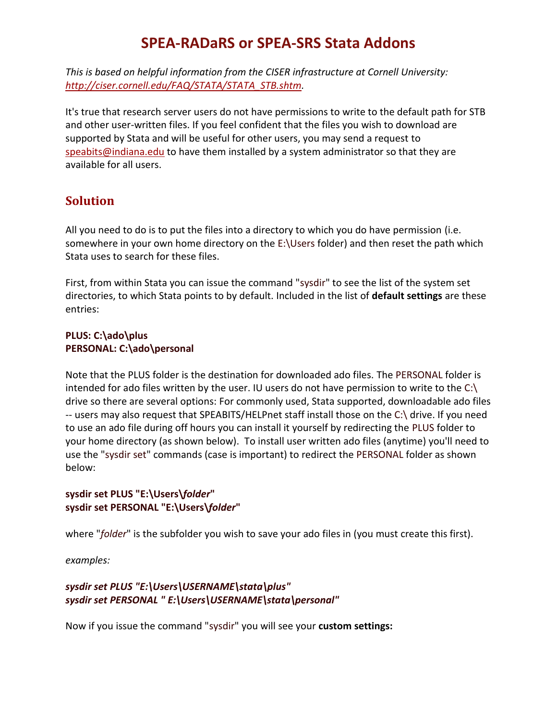# **SPEA-RADaRS or SPEA-SRS Stata Addons**

*This is based on helpful information from the CISER infrastructure at Cornell University: [http://ciser.cornell.edu/FAQ/STATA/STATA\\_STB.shtm.](http://ciser.cornell.edu/FAQ/STATA/STATA_STB.shtm)* 

It's true that research server users do not have permissions to write to the default path for STB and other user-written files. If you feel confident that the files you wish to download are supported by Stata and will be useful for other users, you may send a request to [speabits@indiana.edu](mailto:speabits@indiana.edu) to have them installed by a system administrator so that they are available for all users.

## **Solution**

All you need to do is to put the files into a directory to which you do have permission (i.e. somewhere in your own home directory on the E:\Users folder) and then reset the path which Stata uses to search for these files.

First, from within Stata you can issue the command "sysdir" to see the list of the system set directories, to which Stata points to by default. Included in the list of **default settings** are these entries:

#### **PLUS: C:\ado\plus PERSONAL: C:\ado\personal**

Note that the PLUS folder is the destination for downloaded ado files. The PERSONAL folder is intended for ado files written by the user. IU users do not have permission to write to the C:\ drive so there are several options: For commonly used, Stata supported, downloadable ado files -- users may also request that SPEABITS/HELPnet staff install those on the C:\ drive. If you need to use an ado file during off hours you can install it yourself by redirecting the PLUS folder to your home directory (as shown below). To install user written ado files (anytime) you'll need to use the "sysdir set" commands (case is important) to redirect the PERSONAL folder as shown below:

### **sysdir set PLUS "E:\Users\***folder***" sysdir set PERSONAL "E:\Users\***folder***"**

where "*folder*" is the subfolder you wish to save your ado files in (you must create this first).

*examples:*

### *sysdir set PLUS "E:\Users\USERNAME\stata\plus" sysdir set PERSONAL " E:\Users\USERNAME\stata\personal"*

Now if you issue the command "sysdir" you will see your **custom settings:**